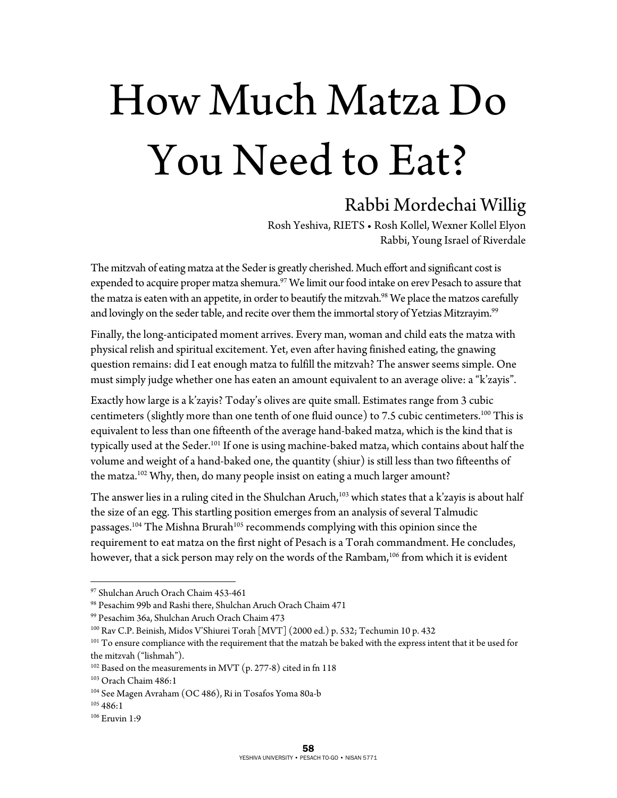## How Much Matza Do You Need to Eat?

## Rabbi Mordechai Willig

Rosh Yeshiva, RIETS • Rosh Kollel, Wexner Kollel Elyon Rabbi, Young Israel of Riverdale

The mitzvah of eating matza at the Seder is greatly cherished. Much effort and significant cost is expended to acquire proper matza shemura.<sup>97</sup> We limit our food intake on erev Pesach to assure that the matza is eaten with an appetite, in order to beautify the mitzvah.<sup>98</sup> We place the matzos carefully and lovingly on the seder table, and recite over them the immortal story of Yetzias Mitzrayim.<sup>99</sup>

Finally, the long-anticipated moment arrives. Every man, woman and child eats the matza with physical relish and spiritual excitement. Yet, even after having finished eating, the gnawing question remains: did I eat enough matza to fulfill the mitzvah? The answer seems simple. One must simply judge whether one has eaten an amount equivalent to an average olive: a "k'zayis".

Exactly how large is a k'zayis? Today's olives are quite small. Estimates range from 3 cubic centimeters (slightly more than one tenth of one fluid ounce) to 7.5 cubic centimeters.<sup>100</sup> This is equivalent to less than one fifteenth of the average hand-baked matza, which is the kind that is typically used at the Seder.<sup>101</sup> If one is using machine-baked matza, which contains about half the volume and weight of a hand-baked one, the quantity (shiur) is still less than two fifteenths of the matza.<sup>102</sup> Why, then, do many people insist on eating a much larger amount?

The answer lies in a ruling cited in the Shulchan Aruch,<sup>103</sup> which states that a k'zayis is about half the size of an egg. This startling position emerges from an analysis of several Talmudic passages.<sup>104</sup> The Mishna Brurah<sup>105</sup> recommends complying with this opinion since the requirement to eat matza on the first night of Pesach is a Torah commandment. He concludes, however, that a sick person may rely on the words of the Rambam,<sup>106</sup> from which it is evident

 $\overline{a}$ 

<sup>97</sup> Shulchan Aruch Orach Chaim 453-461

<sup>98</sup> Pesachim 99b and Rashi there, Shulchan Aruch Orach Chaim 471

<sup>99</sup> Pesachim 36a, Shulchan Aruch Orach Chaim 473

<sup>&</sup>lt;sup>100</sup> Rav C.P. Beinish, Midos V'Shiurei Torah  $[MVT]$  (2000 ed.) p. 532; Techumin 10 p. 432<br><sup>101</sup> To ensure compliance with the requirement that the matzah be baked with the express intent that it be used for the mitzvah ("lishmah").

 $102$  Based on the measurements in MVT (p. 277-8) cited in fn 118

<sup>103</sup> Orach Chaim 486:1

<sup>104</sup> See Magen Avraham (OC 486), Ri in Tosafos Yoma 80a-b

 $105486:1$ 

<sup>&</sup>lt;sup>106</sup> Eruvin 1:9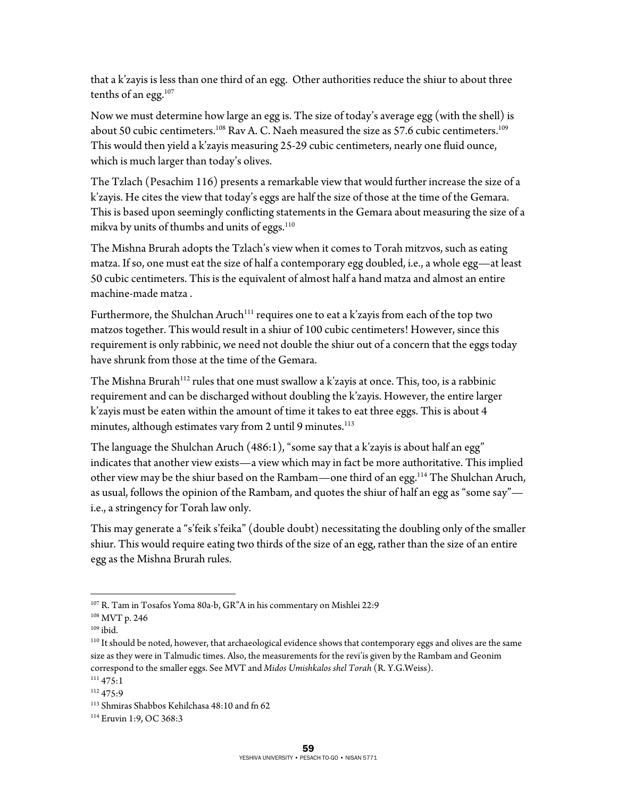that a k'zayis is less than one third of an egg. Other authorities reduce the shiur to about three tenths of an egg.<sup>107</sup>

Now we must determine how large an egg is. The size of today's average egg (with the shell) is about 50 cubic centimeters.<sup>108</sup> Rav A. C. Naeh measured the size as 57.6 cubic centimeters.<sup>109</sup> This would then yield a k'zayis measuring 25-29 cubic centimeters, nearly one fluid ounce, which is much larger than today's olives.

The Tzlach (Pesachim 116) presents a remarkable view that would further increase the size of a k'zayis. He cites the view that today's eggs are half the size of those at the time of the Gemara. This is based upon seemingly conflicting statements in the Gemara about measuring the size of a mikva by units of thumbs and units of eggs.<sup>110</sup>

The Mishna Brurah adopts the Tzlach's view when it comes to Torah mitzvos, such as eating matza. If so, one must eat the size of half a contemporary egg doubled, i.e., a whole egg—at least 50 cubic centimeters. This is the equivalent of almost half a hand matza and almost an entire machine-made matza .

Furthermore, the Shulchan Aruch<sup>111</sup> requires one to eat a k'zayis from each of the top two matzos together. This would result in a shiur of 100 cubic centimeters! However, since this requirement is only rabbinic, we need not double the shiur out of a concern that the eggs today have shrunk from those at the time of the Gemara.

The Mishna Brurah<sup>112</sup> rules that one must swallow a k'zayis at once. This, too, is a rabbinic requirement and can be discharged without doubling the k'zayis. However, the entire larger k'zayis must be eaten within the amount of time it takes to eat three eggs. This is about 4 minutes, although estimates vary from 2 until 9 minutes.<sup>113</sup>

The language the Shulchan Aruch (486:1), "some say that a k'zayis is about half an egg" indicates that another view exists—a view which may in fact be more authoritative. This implied other view may be the shiur based on the Rambam—one third of an egg.114 The Shulchan Aruch, as usual, follows the opinion of the Rambam, and quotes the shiur of half an egg as "some say" i.e., a stringency for Torah law only.

This may generate a "s'feik s'feika" (double doubt) necessitating the doubling only of the smaller shiur. This would require eating two thirds of the size of an egg, rather than the size of an entire egg as the Mishna Brurah rules.

 $\overline{a}$ 107 R. Tam in Tosafos Yoma 80a-b, GR"A in his commentary on Mishlei 22:9

<sup>108</sup> MVT p. 246

 $109$  ibid.

<sup>&</sup>lt;sup>110</sup> It should be noted, however, that archaeological evidence shows that contemporary eggs and olives are the same size as they were in Talmudic times. Also, the measurements for the revi'is given by the Rambam and Geonim correspond to the smaller eggs. See MVT and *Midos Umishkalos shel Torah* (R. Y.G.Weiss). 111 475:1

<sup>112 475:9</sup> 

<sup>113</sup> Shmiras Shabbos Kehilchasa 48:10 and fn 62

<sup>114</sup> Eruvin 1:9, OC 368:3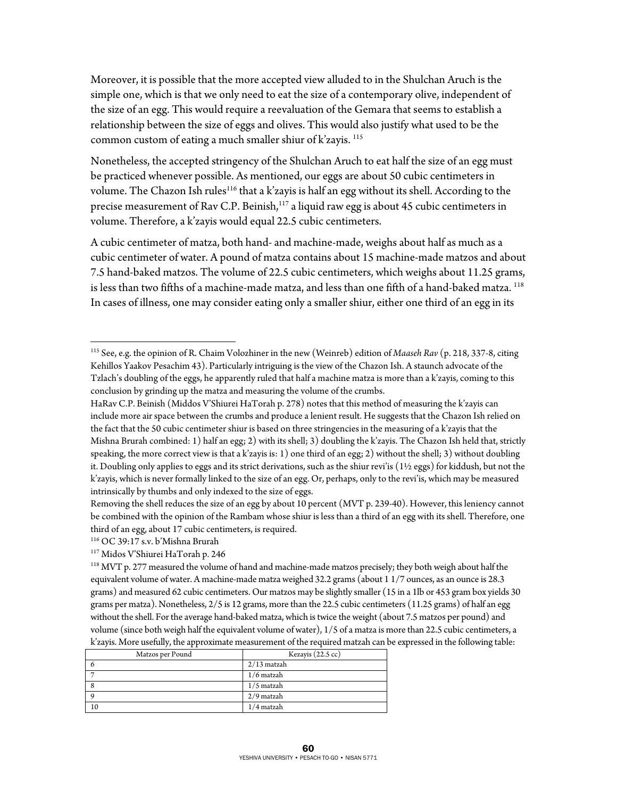Moreover, it is possible that the more accepted view alluded to in the Shulchan Aruch is the simple one, which is that we only need to eat the size of a contemporary olive, independent of the size of an egg. This would require a reevaluation of the Gemara that seems to establish a relationship between the size of eggs and olives. This would also justify what used to be the common custom of eating a much smaller shiur of k'zayis. 115

Nonetheless, the accepted stringency of the Shulchan Aruch to eat half the size of an egg must be practiced whenever possible. As mentioned, our eggs are about 50 cubic centimeters in volume. The Chazon Ish rules<sup>116</sup> that a k'zayis is half an egg without its shell. According to the precise measurement of Rav C.P. Beinish,<sup>117</sup> a liquid raw egg is about 45 cubic centimeters in volume. Therefore, a k'zayis would equal 22.5 cubic centimeters.

A cubic centimeter of matza, both hand- and machine-made, weighs about half as much as a cubic centimeter of water. A pound of matza contains about 15 machine-made matzos and about 7.5 hand-baked matzos. The volume of 22.5 cubic centimeters, which weighs about 11.25 grams, is less than two fifths of a machine-made matza, and less than one fifth of a hand-baked matza.<sup>118</sup> In cases of illness, one may consider eating only a smaller shiur, either one third of an egg in its

 $\overline{a}$ 

<sup>118</sup> MVT p. 277 measured the volume of hand and machine-made matzos precisely; they both weigh about half the equivalent volume of water. A machine-made matza weighed 32.2 grams (about 1 1/7 ounces, as an ounce is 28.3 grams) and measured 62 cubic centimeters. Our matzos may be slightly smaller (15 in a 1lb or 453 gram box yields 30 grams per matza). Nonetheless, 2/5 is 12 grams, more than the 22.5 cubic centimeters (11.25 grams) of half an egg without the shell. For the average hand-baked matza, which is twice the weight (about 7.5 matzos per pound) and volume (since both weigh half the equivalent volume of water), 1/5 of a matza is more than 22.5 cubic centimeters, a k'zayis. More usefully, the approximate measurement of the required matzah can be expressed in the following table:

| Matzos per Pound | Kezayis (22.5 cc) |
|------------------|-------------------|
|                  | $2/13$ matzah     |
|                  | $1/6$ matzah      |
|                  | $1/5$ matzah      |
|                  | 2/9 matzah        |
| 10               | $1/4$ matzah      |

<sup>115</sup> See, e.g. the opinion of R. Chaim Volozhiner in the new (Weinreb) edition of *Maaseh Rav* (p. 218, 337-8, citing Kehillos Yaakov Pesachim 43). Particularly intriguing is the view of the Chazon Ish. A staunch advocate of the Tzlach's doubling of the eggs, he apparently ruled that half a machine matza is more than a k'zayis, coming to this conclusion by grinding up the matza and measuring the volume of the crumbs.

HaRav C.P. Beinish (Middos V'Shiurei HaTorah p. 278) notes that this method of measuring the k'zayis can include more air space between the crumbs and produce a lenient result. He suggests that the Chazon Ish relied on the fact that the 50 cubic centimeter shiur is based on three stringencies in the measuring of a k'zayis that the Mishna Brurah combined: 1) half an egg; 2) with its shell; 3) doubling the k'zayis. The Chazon Ish held that, strictly speaking, the more correct view is that a k'zayis is: 1) one third of an egg; 2) without the shell; 3) without doubling it. Doubling only applies to eggs and its strict derivations, such as the shiur revi'is (1½ eggs) for kiddush, but not the k'zayis, which is never formally linked to the size of an egg. Or, perhaps, only to the revi'is, which may be measured intrinsically by thumbs and only indexed to the size of eggs.

Removing the shell reduces the size of an egg by about 10 percent (MVT p. 239-40). However, this leniency cannot be combined with the opinion of the Rambam whose shiur is less than a third of an egg with its shell. Therefore, one third of an egg, about 17 cubic centimeters, is required.

<sup>116</sup> OC 39:17 s.v. b'Mishna Brurah

<sup>117</sup> Midos V'Shiurei HaTorah p. 246